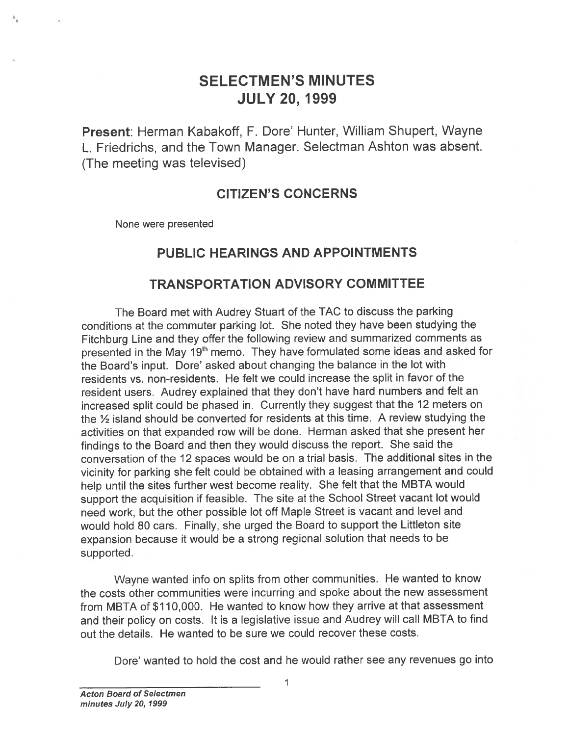# SELECTMEN'S MINUTES JULY 20, 1999

Present: Herman Kabakoff, F. Dore' Hunter, William Shupert, Wayne L. Friedrichs, and the Town Manager. Selectman Ashton was absent. (The meeting was televised)

## CITIZEN'S CONCERNS

None were presented

#### PUBLIC HEARINGS AND APPOINTMENTS

#### TRANSPORTATION ADVISORY COMMITTEE

The Board met with Audrey Stuart of the TAO to discuss the parking conditions at the commuter parking lot. She noted they have been studying the Fitchburg Line and they offer the following review and summarized comments as presented in the May 19<sup>th</sup> memo. They have formulated some ideas and asked for the Board's input. Dore' asked about changing the balance in the lot with residents vs. non-residents. He felt we could increase the split in favor of the resident users. Audrey explained that they don't have hard numbers and felt an increased split could be <sup>p</sup>hased in. Currently they sugges<sup>t</sup> that the <sup>12</sup> meters on the  $\frac{1}{2}$  island should be converted for residents at this time. A review studying the activities on that expanded row will be done. Herman asked that she presen<sup>t</sup> her findings to the Board and then they would discuss the report. She said the conversation of the <sup>12</sup> spaces would be on <sup>a</sup> trial basis. The additional sites in the vicinity for parking she felt could be obtained with <sup>a</sup> leasing arrangemen<sup>t</sup> and could help until the sites further west become reality. She felt that the MBTA would suppor<sup>t</sup> the acquisition if feasible. The site at the School Street vacant lot would need work, but the other possible lot off Maple Street is vacant and level and would hold 80 cars. Finally, she urged the Board to suppor<sup>t</sup> the Littleton site expansion because it would be <sup>a</sup> strong regional solution that needs to be supported.

Wayne wanted info on splits from other communities. He wanted to know the costs other communities were incurring and spoke about the new assessment from MBTA of \$110,000. He wanted to know how they arrive at that assessment and their policy on costs. It is <sup>a</sup> legislative issue and Audrey will call MBTA to find out the details. He wanted to be sure we could recover these costs.

Dote' wanted to hold the cost and he would rather see any revenues go into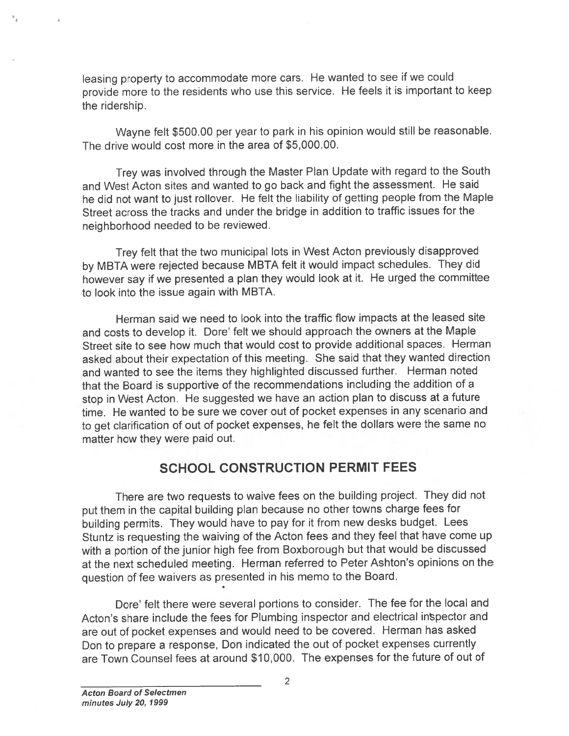leasing property to accommodate more cars. He wanted to see if we could provide more to the residents who use this service. He feels it is important to keep the ridership.

Wayne felt \$500.00 per year to par<sup>k</sup> in his opinion would still be reasonable. The drive would cost more in the area of \$5,000.00.

Trey was involved through the Master Plan Update with regar<sup>d</sup> to the South and West Acton sites and wanted to go back and fight the assessment. He said he did not want to just rollover. He felt the liability of getting people from the Maple Street across the tracks and under the bridge in addition to traffic issues for the neighborhood needed to be reviewed.

Trey felt that the two municipal lots in West Acton previously disapproved by MBTA were rejected because MBTA felt it would impact schedules. They did however say if we presented <sup>a</sup> <sup>p</sup>lan they would look at it. He urge<sup>d</sup> the committee to look into the issue again with MBTA.

Herman said we need to look into the traffic flow impacts at the leased site and costs to develop it. Dore' felt we should approac<sup>h</sup> the owners at the Maple Street site to see how much that would cost to provide additional spaces. Herman asked about their expectation of this meeting. She said that they wanted direction and wanted to see the items they highlighted discussed further. Herman noted that the Board is supportive of the recommendations including the addition of <sup>a</sup> stop in West Acton. He suggested we have an action <sup>p</sup>lan to discuss at <sup>a</sup> future time. He wanted to be sure we cover out of pocket expenses in any scenario and to ge<sup>t</sup> clarification of out of pocket expenses, he felt the dollars were the same no matter how they were paid out.

#### SCHOOL CONSTRUCTION PERMIT FEES

There are two requests to waive fees on the building project. They did not pu<sup>t</sup> them in the capital building <sup>p</sup>lan because no other towns charge fees for building permits. They would have to pay for it from new desks budget. Lees Stuntz is requesting the waiving of the Acton fees and they feel that have come up with <sup>a</sup> portion of the junior high fee from Boxborough but that would be discussed at the next scheduled meeting. Herman referred to Peter Ashton's opinions on the question of fee waivers as presented in his memo to the Board.

Dote' felt there were several portions to consider. The fee for the local and Acton's share include the fees for Plumbing inspector and electrical inspector and are out of pocket expenses and would need to be covered. Herman has asked Don to prepare <sup>a</sup> response, Don indicated the out of pocket expenses currently are Town Counsel fees at around \$10,000. The expenses for the future of out of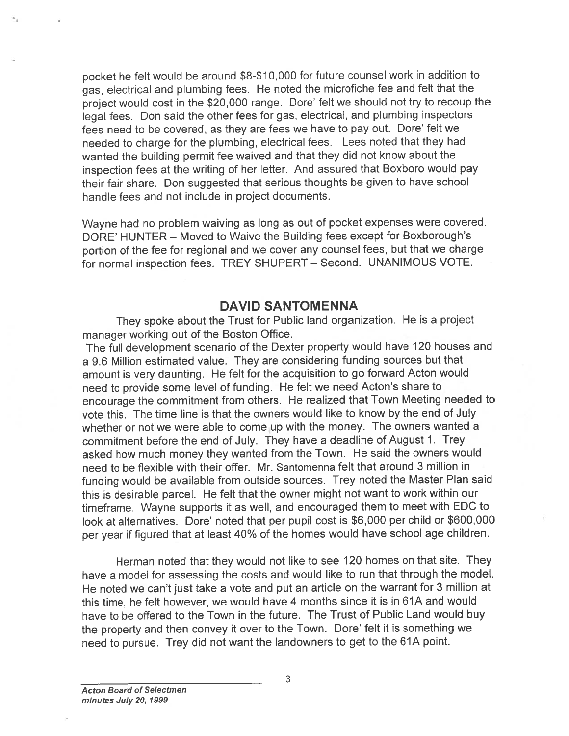pocket he felt would be around \$8-\$ 10,000 for future counsel work in addition to gas, electrical and <sup>p</sup>lumbing fees. He noted the microfiche fee and felt that the project would cost in the \$20,000 range. Dore' felt we should not try to recoup the legal fees. Don said the other fees for gas, electrical, and <sup>p</sup>lumbing inspectors fees need to be covered, as they are fees we have to pay out. Dore' felt we needed to charge for the <sup>p</sup>lumbing, electrical fees. Lees noted that they had wanted the building permit fee waived and that they did not know about the inspection fees at the writing of her letter. And assured that Boxboro would pay their fair share. Don suggested that serious thoughts be given to have school handle fees and not include in project documents.

Wayne had no problem waiving as long as out of pocket expenses were covered. DORE' HUNTER — Moved to Waive the Building fees excep<sup>t</sup> for Boxborough's portion of the fee for regional and we cover any counsel fees, but that we charge for normal inspection fees. TREY SHUPERT — Second. UNANIMOUS VOTE.

#### DAVID SANTOMENNA

They spoke about the Trust for Public land organization. He is <sup>a</sup> project manager working out of the Boston Office.

The full development scenario of the Dexter property would have 120 houses and <sup>a</sup> 9.6 Million estimated value. They are considering funding sources but that amount is very daunting. He felt for the acquisition to go forward Acton would need to provide some level of funding. He felt we need Acton's share to encourage the commitment from others. He realized that Town Meeting needed to vote this. The time line is that the owners would like to know by the end of July whether or not we were able to come up with the money. The owners wanted <sup>a</sup> commitment before the end of July. They have <sup>a</sup> deadline of August 1. Trey asked how much money they wanted from the Town. He said the owners would need to be flexible with their offer. Mr. Santomenna felt that around 3 million in funding would be available from outside sources. Trey noted the Master Plan said this is desirable parcel. He felt that the owner might not want to work within our timeframe. Wayne supports it as well, and encourage<sup>d</sup> them to meet with EDC to look at alternatives. Dore' noted that per pupil cost is \$6,000 per child or \$600,000 per year if figured that at least 40% of the homes would have school age children.

Herman noted that they would not like to see <sup>120</sup> homes on that site. They have <sup>a</sup> model for assessing the costs and would like to run that through the model. He noted we can't just take <sup>a</sup> vote and pu<sup>t</sup> an article on the warrant for <sup>3</sup> million at this time, he felt however, we would have <sup>4</sup> months since it is in 61A and would have to be offered to the Town in the future. The Trust of Public Land would buy the property and then convey it over to the Town. Dore' felt it is something we need to pursue. Trey did not want the landowners to ge<sup>t</sup> to the 61A point.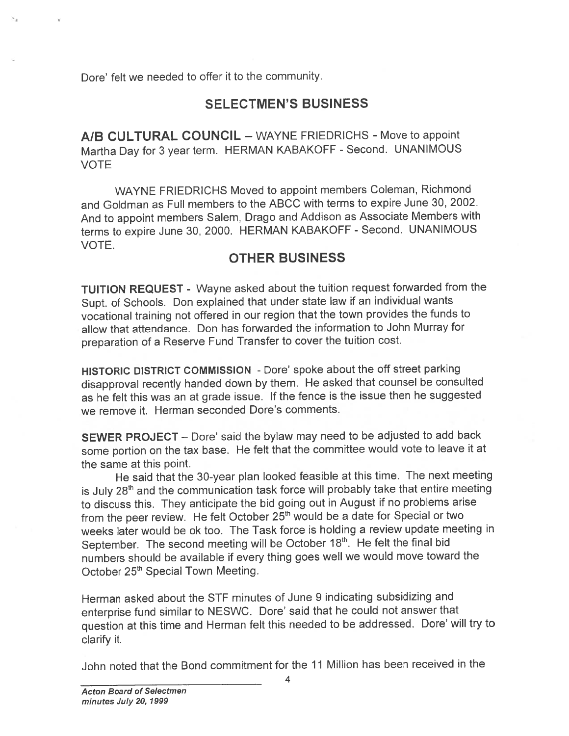Dore' felt we needed to offer it to the community.

## SELECTMEN'S BUSINESS

A/B CULTURAL COUNCIL — WAYNE FRIEDRICHS - Move to appoint Martha Day for <sup>3</sup> year term. HERMAN KABAKOFF - Second. UNANIMOUS VOTE

WAYNE FRIEDRICHS Moved to appoint members Coleman, Richmond and Goldman as Full members to the ABCC with terms to expire June 30, 2002. And to appoint members Salem, Drago and Addison as Associate Members with terms to expire June 30, 2000. HERMAN KABAKOFF - Second. UNANIMOUS VOTE.

## OTHER BUSINESS

TUITION REQUEST - Wayne asked about the tuition reques<sup>t</sup> forwarded from the Supt. of Schools. Don explained that under state law if an individual wants vocational training not offered in our region that the town provides the funds to allow that attendance. Don has forwarded the information to John Murray for preparation of <sup>a</sup> Reserve Fund Transfer to cover the tuition cost.

HISTORIC DISTRICT COMMISSION - Dote' spoke about the off street parking disapproval recently handed down by them. He asked that counsel be consulted as he felt this was an at grade issue. If the fence is the issue then he suggested we remove it. Herman seconded Dore's comments.

SEWER PROJECT — Dore' said the bylaw may need to be adjusted to add back some portion on the tax base. He felt that the committee would vote to leave it at the same at this point.

He said that the 30-year <sup>p</sup>lan looked feasible at this time. The next meeting is July 28<sup>th</sup> and the communication task force will probably take that entire meeting to discuss this. They anticipate the bid going out in August if no problems arise from the peer review. He felt October 25<sup>th</sup> would be a date for Special or two weeks later would be Ok too. The Task force is holding <sup>a</sup> review update meeting in September. The second meeting will be October 18<sup>th</sup>. He felt the final bid numbers should be available if every thing goes well we would move toward the October 25<sup>th</sup> Special Town Meeting.

Herman asked about the STF minutes of June 9 indicating subsidizing and enterprise fund similar to NESWC. Dore' said that he could not answer that question at this time and Herman felt this needed to be addressed. Dare' will try to clarify it.

John noted that the Bond commitment for the 11 Million has been received in the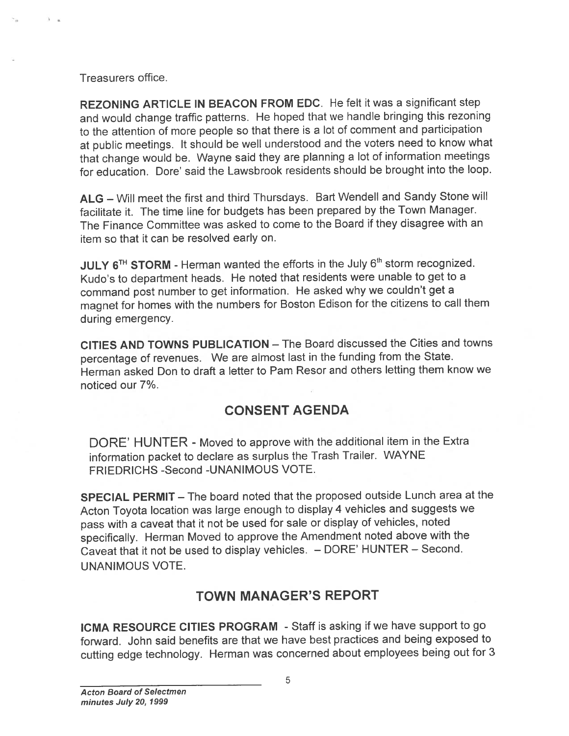Treasurers office.

REZONING ARTICLE IN BEACON FROM EDC. He felt it was <sup>a</sup> significant step and would change traffic patterns. He hoped that we handle bringing this rezoning to the attention of more people so that there is <sup>a</sup> lot of comment and participation at public meetings. It should be well understood and the voters need to know what that change would be. Wayne said they are <sup>p</sup>lanning <sup>a</sup> lot of information meetings for education. Dore' said the Lawsbrook residents should be brought into the loop.

ALG – Will meet the first and third Thursdays. Bart Wendell and Sandy Stone will facilitate it. The time line for budgets has been prepared by the Town Manager. The Finance Committee was asked to come to the Board if they disagree with an item so that it can be resolved early on.

JULY  $6^{TH}$  STORM - Herman wanted the efforts in the July  $6^{th}$  storm recognized. Kudo's to department heads. He noted that residents were unable to ge<sup>t</sup> to <sup>a</sup> command pos<sup>t</sup> number to ge<sup>t</sup> information. He asked why we couldn't ge<sup>t</sup> <sup>a</sup> magne<sup>t</sup> for homes with the numbers for Boston Edison for the citizens to call them during emergency.

CITIES AND TOWNS PUBLICATION — The Board discussed the Cities and towns percentage of revenues. We are almost last in the funding from the State. Herman asked Don to draft <sup>a</sup> letter to Pam Resor and others letting them know we noticed our 7%.

# CONSENT AGENDA

DORE' HUNTER - Moved to approve with the additional item in the Extra information packet to declare as surplus the Trash Trailer. WAYNE FRIEDRICHS -Second -UNANIMOUS VOTE.

SPECIAL PERMIT — The board noted that the proposed outside Lunch area at the Acton Toyota location was large enoug<sup>h</sup> to display <sup>4</sup> vehicles and suggests we pass with <sup>a</sup> caveat that it not be used for sale or display of vehicles, noted specifically. Herman Moved to approve the Amendment noted above with the Caveat that it not be used to display vehicles. — DORE' HUNTER — Second. UNANIMOUS VOTE.

# TOWN MANAGER'S REPORT

ICMA RESOURCE CITIES PROGRAM - Staff is asking if we have support to go forward. John said benefits are that we have best practices and being exposed to cutting edge technology. Herman was concerned about employees being out for <sup>3</sup>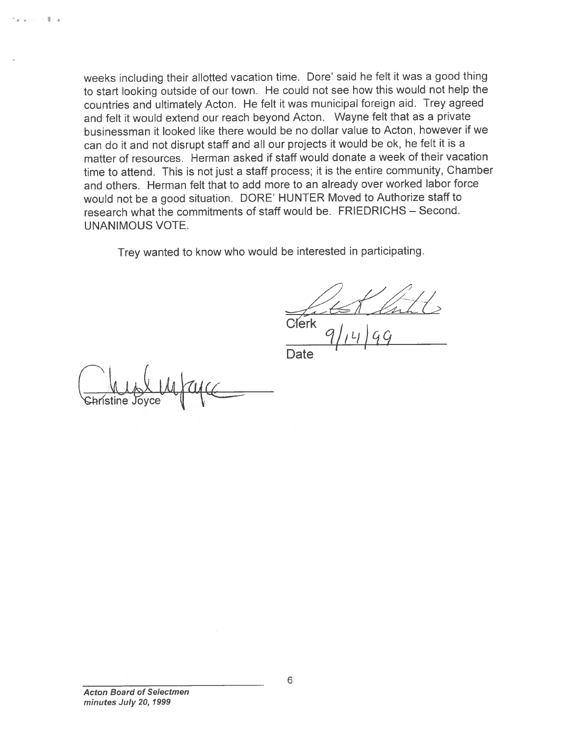weeks including their allotted vacation time. Dore' said he felt it was <sup>a</sup> goo<sup>d</sup> thing to start looking outside of our town. He could not see how this would not help the countries and ultimately Acton. He felt it was municipal foreign aid. Trey agree<sup>d</sup> and felt it would extend our teach beyond Acton. Wayne felt that as <sup>a</sup> private businessman it looked like there would be no dollar value to Acton, however if we can do it and not disrupt staff and all our projects it would be Ok, he felt it is <sup>a</sup> matter of resources. Herman asked if staff would donate <sup>a</sup> week of their vacation time to attend. This is not just <sup>a</sup> staff process; it is the entire community, Chamber and others. Herman felt that to add more to an already over worked labor force would not be <sup>a</sup> goo<sup>d</sup> situation. DORE' HUNTER Moved to Authorize staff to research what the commitments of staff would be. FRIEDRICHS — Second. UNANIMOUS VOTE.

Trey wanted to know who would be interested in participating.

Clerk

 $91, 416$ 

**Date** 

Christine Joyce

s.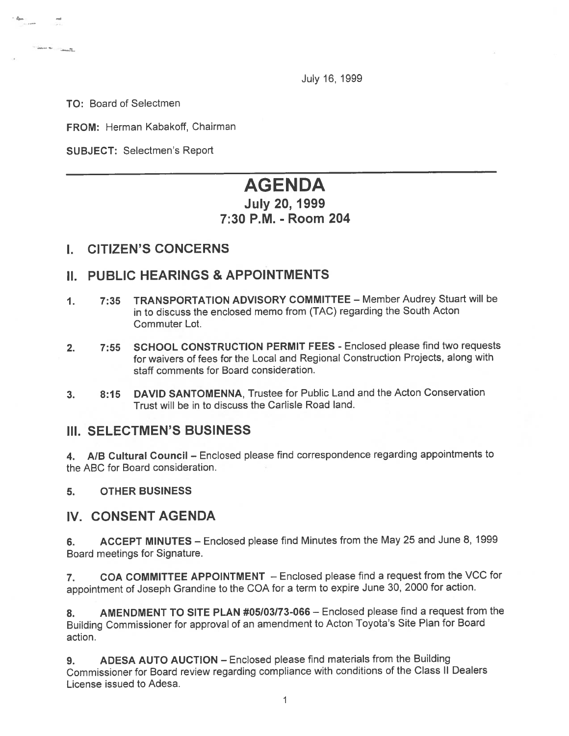July 16, 1999

TO: Board of Selectmen

**Colorado de Colorado de** 

FROM: Herman Kabakoff, Chairman

SUBJECT: Selectmen's Report

# AGENDA

## July 20, 1999 7:30 P.M. - Room 204

#### I. CITIZEN'S CONCERNS

## II. PUBLIC HEARINGS & APPOINTMENTS

- 1. 7:35 TRANSPORTATION ADViSORY COMMITTEE Member Audrey Stuart will be in to discuss the enclosed memo from (TAC) regarding the South Acton Commuter Lot.
- 2. 7:55 SCHOOL CONSTRUCTION PERMIT FEES Enclosed please find two requests for waivers of fees for the Local and Regional Construction Projects, along with staff comments for Board consideration.
- 3. 8:15 DAVID SANTOMENNA, Trustee for Public Land and the Acton Conservation Trust will be in to discuss the Carlisle Road land.

#### III. SELECTMEN'S BUSINESS

4. A/B Cultural Council — Enclosed <sup>p</sup>lease find correspondence regarding appointments to the ABC for Board consideration.

#### 5. OTHER BUSINESS

#### IV. CONSENT AGENDA

6. ACCEPT MINUTES — Enclosed <sup>p</sup>lease find Minutes from the May25 and June 8, <sup>1999</sup> Board meetings for Signature.

7. COA COMMITTEE APPOINTMENT - Enclosed please find a request from the VCC for appointment of Joseph Grandine to the COA for <sup>a</sup> term to expire June 30, <sup>2000</sup> for action.

8. AMENDMENT TO SITE PLAN #05/03/73-066 — Enclosed please find <sup>a</sup> reques<sup>t</sup> from the Building Commissioner for approva<sup>l</sup> of an amendment to Acton Toyota's Site Plan for Board action.

9. ADESA AUTO AUCTION – Enclosed please find materials from the Building Commissioner for Board review regarding compliance with conditions of the Class II Dealers License issued to Adesa.